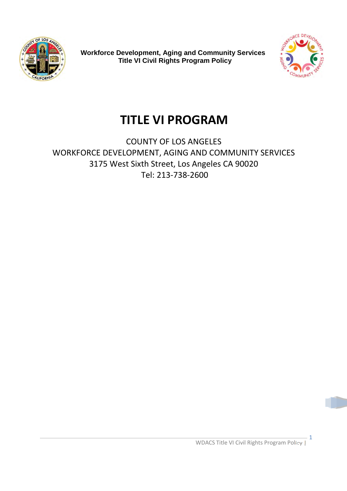



# **TITLE VI PROGRAM**

COUNTY OF LOS ANGELES WORKFORCE DEVELOPMENT, AGING AND COMMUNITY SERVICES 3175 West Sixth Street, Los Angeles CA 90020 Tel: 213-738-2600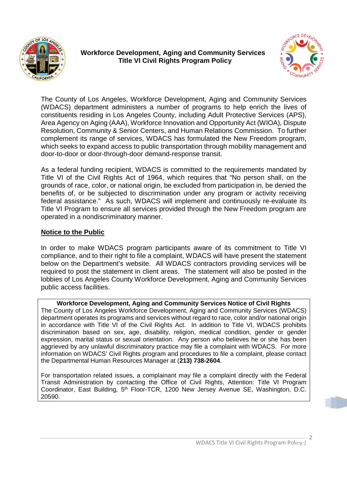



The County of Los Angeles, Workforce Development, Aging and Community Services (WDACS) department administers a number of programs to help enrich the lives of constituents residing in Los Angeles County, including Adult Protective Services (APS), Area Agency on Aging (AAA), Workforce Innovation and Opportunity Act (WIOA), Dispute Resolution, Community & Senior Centers, and Human Relations Commission. To further complement its range of services, WDACS has formulated the New Freedom program, which seeks to expand access to public transportation through mobility management and door-to-door or door-through-door demand-response transit.

As a federal funding recipient, WDACS is committed to the requirements mandated by Title VI of the Civil Rights Act of 1964, which requires that "No person shall, on the grounds of race, color, or national origin, be excluded from participation in, be denied the benefits of, or be subjected to discrimination under any program or activity receiving federal assistance." As such, WDACS will implement and continuously re-evaluate its Title VI Program to ensure all services provided through the New Freedom program are operated in a nondiscriminatory manner.

#### **Notice to the Public**

In order to make WDACS program participants aware of its commitment to Title VI compliance, and to their right to file a complaint, WDACS will have present the statement below on the Department's website. All WDACS contractors providing services will be required to post the statement in client areas. The statement will also be posted in the lobbies of Los Angeles County Workforce Development, Aging and Community Services public access facilities.

**Workforce Development, Aging and Community Services Notice of Civil Rights** The County of Los Angeles Workforce Development, Aging and Community Services (WDACS) department operates its programs and services without regard to race, color and/or national origin in accordance with Title VI of the Civil Rights Act. In addition to Title VI, WDACS prohibits discrimination based on sex, age, disability, religion, medical condition, gender or gender expression, marital status or sexual orientation. Any person who believes he or she has been aggrieved by any unlawful discriminatory practice may file a complaint with WDACS. For more information on WDACS' Civil Rights program and procedures to file a complaint, please contact the Departmental Human Resources Manager at (**213) 738-2604**.

For transportation related issues, a complainant may file a complaint directly with the Federal Transit Administration by contacting the Office of Civil Rights, Attention: Title VI Program Coordinator, East Building, 5<sup>th</sup> Floor-TCR, 1200 New Jersey Avenue SE, Washington, D.C. 20590.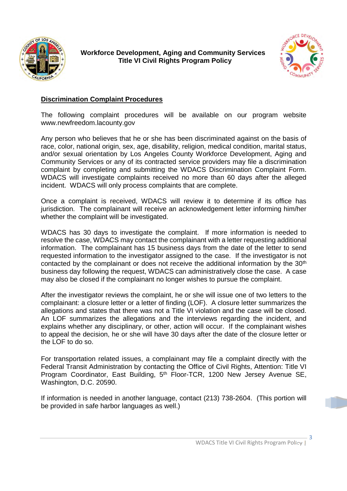



#### **Discrimination Complaint Procedures**

The following complaint procedures will be available on our program website www.newfreedom.lacounty.gov

Any person who believes that he or she has been discriminated against on the basis of race, color, national origin, sex, age, disability, religion, medical condition, marital status, and/or sexual orientation by Los Angeles County Workforce Development, Aging and Community Services or any of its contracted service providers may file a discrimination complaint by completing and submitting the WDACS Discrimination Complaint Form. WDACS will investigate complaints received no more than 60 days after the alleged incident. WDACS will only process complaints that are complete.

Once a complaint is received, WDACS will review it to determine if its office has jurisdiction. The complainant will receive an acknowledgement letter informing him/her whether the complaint will be investigated.

WDACS has 30 days to investigate the complaint. If more information is needed to resolve the case, WDACS may contact the complainant with a letter requesting additional information. The complainant has 15 business days from the date of the letter to send requested information to the investigator assigned to the case. If the investigator is not contacted by the complainant or does not receive the additional information by the 30th business day following the request, WDACS can administratively close the case. A case may also be closed if the complainant no longer wishes to pursue the complaint.

After the investigator reviews the complaint, he or she will issue one of two letters to the complainant: a closure letter or a letter of finding (LOF). A closure letter summarizes the allegations and states that there was not a Title VI violation and the case will be closed. An LOF summarizes the allegations and the interviews regarding the incident, and explains whether any disciplinary, or other, action will occur. If the complainant wishes to appeal the decision, he or she will have 30 days after the date of the closure letter or the LOF to do so.

For transportation related issues, a complainant may file a complaint directly with the Federal Transit Administration by contacting the Office of Civil Rights, Attention: Title VI Program Coordinator, East Building, 5<sup>th</sup> Floor-TCR, 1200 New Jersey Avenue SE, Washington, D.C. 20590.

If information is needed in another language, contact (213) 738-2604. (This portion will be provided in safe harbor languages as well.)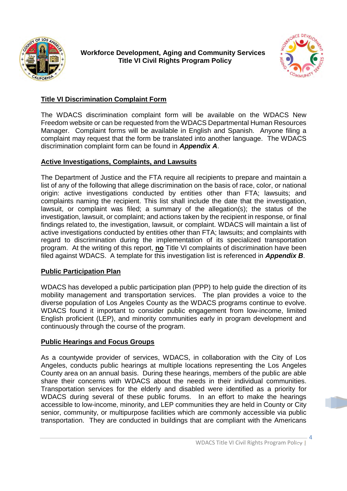



#### **Title VI Discrimination Complaint Form**

The WDACS discrimination complaint form will be available on the WDACS New Freedom website or can be requested from the WDACS Departmental Human Resources Manager. Complaint forms will be available in English and Spanish. Anyone filing a complaint may request that the form be translated into another language. The WDACS discrimination complaint form can be found in *Appendix A*.

#### **Active Investigations, Complaints, and Lawsuits**

The Department of Justice and the FTA require all recipients to prepare and maintain a list of any of the following that allege discrimination on the basis of race, color, or national origin: active investigations conducted by entities other than FTA; lawsuits; and complaints naming the recipient. This list shall include the date that the investigation, lawsuit, or complaint was filed; a summary of the allegation(s); the status of the investigation, lawsuit, or complaint; and actions taken by the recipient in response, or final findings related to, the investigation, lawsuit, or complaint. WDACS will maintain a list of active investigations conducted by entities other than FTA; lawsuits; and complaints with regard to discrimination during the implementation of its specialized transportation program. At the writing of this report, **no** Title VI complaints of discrimination have been filed against WDACS. A template for this investigation list is referenced in *Appendix B*.

#### **Public Participation Plan**

WDACS has developed a public participation plan (PPP) to help guide the direction of its mobility management and transportation services. The plan provides a voice to the diverse population of Los Angeles County as the WDACS programs continue to evolve. WDACS found it important to consider public engagement from low-income, limited English proficient (LEP), and minority communities early in program development and continuously through the course of the program.

#### **Public Hearings and Focus Groups**

As a countywide provider of services, WDACS, in collaboration with the City of Los Angeles, conducts public hearings at multiple locations representing the Los Angeles County area on an annual basis. During these hearings, members of the public are able share their concerns with WDACS about the needs in their individual communities. Transportation services for the elderly and disabled were identified as a priority for WDACS during several of these public forums. In an effort to make the hearings accessible to low-income, minority, and LEP communities they are held in County or City senior, community, or multipurpose facilities which are commonly accessible via public transportation. They are conducted in buildings that are compliant with the Americans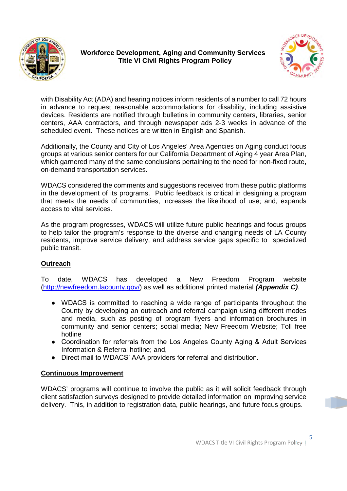



with Disability Act (ADA) and hearing notices inform residents of a number to call 72 hours in advance to request reasonable accommodations for disability, including assistive devices. Residents are notified through bulletins in community centers, libraries, senior centers, AAA contractors, and through newspaper ads 2-3 weeks in advance of the scheduled event. These notices are written in English and Spanish.

Additionally, the County and City of Los Angeles' Area Agencies on Aging conduct focus groups at various senior centers for our California Department of Aging 4 year Area Plan, which garnered many of the same conclusions pertaining to the need for non-fixed route, on-demand transportation services.

WDACS considered the comments and suggestions received from these public platforms in the development of its programs. Public feedback is critical in designing a program that meets the needs of communities, increases the likelihood of use; and, expands access to vital services.

As the program progresses, WDACS will utilize future public hearings and focus groups to help tailor the program's response to the diverse and changing needs of LA County residents, improve service delivery, and address service gaps specific to specialized public transit.

## **Outreach**

To date, WDACS has developed a New Freedom Program website (http://newfreedom.lacounty.gov/) as well as additional printed material *(Appendix C)*.

- WDACS is committed to reaching a wide range of participants throughout the County by developing an outreach and referral campaign using different modes and media, such as posting of program flyers and information brochures in community and senior centers; social media; New Freedom Website; Toll free hotline
- Coordination for referrals from the Los Angeles County Aging & Adult Services Information & Referral hotline; and,
- Direct mail to WDACS' AAA providers for referral and distribution.

#### **Continuous Improvement**

WDACS' programs will continue to involve the public as it will solicit feedback through client satisfaction surveys designed to provide detailed information on improving service delivery. This, in addition to registration data, public hearings, and future focus groups.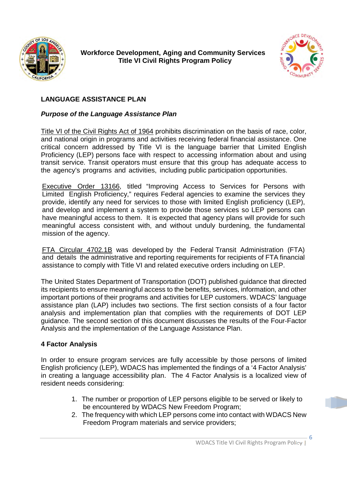



## **LANGUAGE ASSISTANCE PLAN**

#### *Purpose of the Language Assistance Plan*

Title VI of the Civil Rights Act of 1964 prohibits discrimination on the basis of race, color, and national origin in programs and activities receiving federal financial assistance. One critical concern addressed by Title VI is the language barrier that Limited English Proficiency (LEP) persons face with respect to accessing information about and using transit service. Transit operators must ensure that this group has adequate access to the agency's programs and activities, including public participation opportunities.

Executive Order 13166, titled "Improving Access to Services for Persons with Limited English Proficiency," requires Federal agencies to examine the services they provide, identify any need for services to those with limited English proficiency (LEP), and develop and implement a system to provide those services so LEP persons can have meaningful access to them. It is expected that agency plans will provide for such meaningful access consistent with, and without unduly burdening, the fundamental mission of the agency.

FTA Circular 4702.1B was developed by the Federal Transit Administration (FTA) and details the administrative and reporting requirements for recipients of FTA financial assistance to comply with Title VI and related executive orders including on LEP.

The United States Department of Transportation (DOT) published guidance that directed its recipients to ensure meaningful access to the benefits, services, information, and other important portions of their programs and activities for LEP customers. WDACS' language assistance plan (LAP) includes two sections. The first section consists of a four factor analysis and implementation plan that complies with the requirements of DOT LEP guidance. The second section of this document discusses the results of the Four-Factor Analysis and the implementation of the Language Assistance Plan.

#### **4 Factor Analysis**

In order to ensure program services are fully accessible by those persons of limited English proficiency (LEP), WDACS has implemented the findings of a '4 Factor Analysis' in creating a language accessibility plan. The 4 Factor Analysis is a localized view of resident needs considering:

- 1. The number or proportion of LEP persons eligible to be served or likely to be encountered by WDACS New Freedom Program;
- 2. The frequency with which LEP persons come into contact with WDACS New Freedom Program materials and service providers;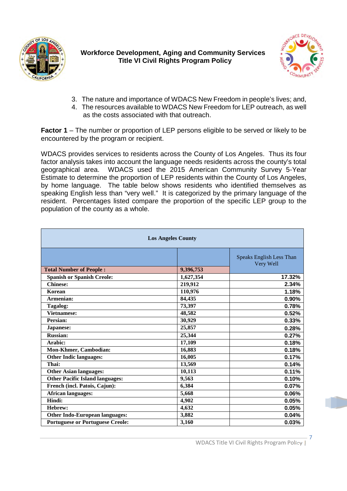



- 3. The nature and importance of WDACS New Freedom in people's lives; and,
- 4. The resources available to WDACS New Freedom for LEP outreach, as well as the costs associated with that outreach.

**Factor 1** – The number or proportion of LEP persons eligible to be served or likely to be encountered by the program or recipient.

WDACS provides services to residents across the County of Los Angeles. Thus its four factor analysis takes into account the language needs residents across the county's total geographical area. WDACS used the 2015 American Community Survey 5-Year Estimate to determine the proportion of LEP residents within the County of Los Angeles, by home language. The table below shows residents who identified themselves as speaking English less than "very well." It is categorized by the primary language of the resident. Percentages listed compare the proportion of the specific LEP group to the population of the county as a whole.

| <b>Los Angeles County</b>               |           |                                       |  |  |
|-----------------------------------------|-----------|---------------------------------------|--|--|
|                                         |           | Speaks English Less Than<br>Very Well |  |  |
| <b>Total Number of People:</b>          | 9,396,753 |                                       |  |  |
| <b>Spanish or Spanish Creole:</b>       | 1,627,354 | 17.32%                                |  |  |
| <b>Chinese:</b>                         | 219,912   | 2.34%                                 |  |  |
| Korean                                  | 110,976   | 1.18%                                 |  |  |
| Armenian:                               | 84,435    | 0.90%                                 |  |  |
| Tagalog:                                | 73,397    | 0.78%                                 |  |  |
| <b>Vietnamese:</b>                      | 48,582    | 0.52%                                 |  |  |
| Persian:                                | 30,929    | 0.33%                                 |  |  |
| Japanese:                               | 25,857    | 0.28%                                 |  |  |
| <b>Russian:</b>                         | 25,344    | 0.27%                                 |  |  |
| Arabic:                                 | 17,109    | 0.18%                                 |  |  |
| Mon-Khmer, Cambodian:                   | 16,883    | 0.18%                                 |  |  |
| <b>Other Indic languages:</b>           | 16,005    | 0.17%                                 |  |  |
| Thai:                                   | 13,569    | 0.14%                                 |  |  |
| <b>Other Asian languages:</b>           | 10,113    | 0.11%                                 |  |  |
| <b>Other Pacific Island languages:</b>  | 9,563     | 0.10%                                 |  |  |
| French (incl. Patois, Cajun):           | 6,384     | 0.07%                                 |  |  |
| <b>African languages:</b>               | 5,668     | 0.06%                                 |  |  |
| Hindi:                                  | 4,902     | 0.05%                                 |  |  |
| Hebrew:                                 | 4,632     | 0.05%                                 |  |  |
| <b>Other Indo-European languages:</b>   | 3,882     | 0.04%                                 |  |  |
| <b>Portuguese or Portuguese Creole:</b> | 3,160     | 0.03%                                 |  |  |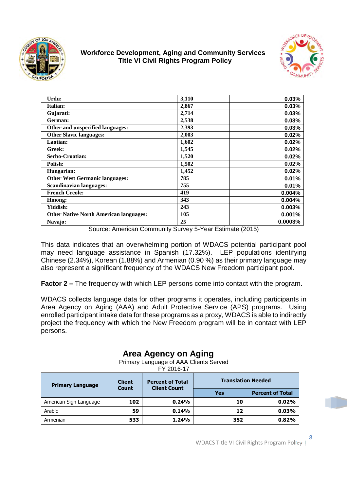



| Urdu:                                         | 3,110 | 0.03%   |
|-----------------------------------------------|-------|---------|
| Italian:                                      | 2,867 | 0.03%   |
| Gujarati:                                     | 2,714 | 0.03%   |
| German:                                       | 2,538 | 0.03%   |
| Other and unspecified languages:              | 2,393 | 0.03%   |
| <b>Other Slavic languages:</b>                | 2,003 | 0.02%   |
| Laotian:                                      | 1,602 | 0.02%   |
| Greek:                                        | 1,545 | 0.02%   |
| Serbo-Croatian:                               | 1,520 | 0.02%   |
| Polish:                                       | 1,502 | 0.02%   |
| Hungarian:                                    | 1,452 | 0.02%   |
| <b>Other West Germanic languages:</b>         | 785   | 0.01%   |
| <b>Scandinavian languages:</b>                | 755   | 0.01%   |
| <b>French Creole:</b>                         | 419   | 0.004%  |
| Hmong:                                        | 343   | 0.004%  |
| Yiddish:                                      | 243   | 0.003%  |
| <b>Other Native North American languages:</b> | 105   | 0.001%  |
| Navajo:                                       | 25    | 0.0003% |

Source: American Community Survey 5-Year Estimate (2015)

This data indicates that an overwhelming portion of WDACS potential participant pool may need language assistance in Spanish (17.32%). LEP populations identifying Chinese (2.34%), Korean (1.88%) and Armenian (0.90 %) as their primary language may also represent a significant frequency of the WDACS New Freedom participant pool.

**Factor 2 –** The frequency with which LEP persons come into contact with the program.

WDACS collects language data for other programs it operates, including participants in Area Agency on Aging (AAA) and Adult Protective Service (APS) programs. Using enrolled participant intake data for these programs as a proxy, WDACS is able to indirectly project the frequency with which the New Freedom program will be in contact with LEP persons.

# **Area Agency on Aging**

Primary Language of AAA Clients Served

FY 2016-17

| <b>Primary Language</b> | <b>Client</b><br><b>Count</b> | <b>Percent of Total</b><br><b>Client Count</b> |     | <b>Translation Needed</b> |
|-------------------------|-------------------------------|------------------------------------------------|-----|---------------------------|
|                         |                               |                                                | Yes | <b>Percent of Total</b>   |
| American Sign Language  | 102                           | 0.24%                                          | 10  | 0.02%                     |
| Arabic                  | 59                            | 0.14%                                          | 12  | 0.03%                     |
| Armenian                | 533                           | 1.24%                                          | 352 | 0.82%                     |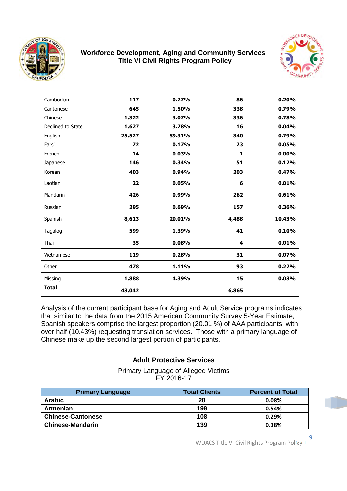



| Cambodian         | 117    | 0.27%  | 86    | 0.20%  |
|-------------------|--------|--------|-------|--------|
| Cantonese         | 645    | 1.50%  | 338   | 0.79%  |
| Chinese           | 1,322  | 3.07%  | 336   | 0.78%  |
| Declined to State | 1,627  | 3.78%  | 16    | 0.04%  |
| English           | 25,527 | 59.31% | 340   | 0.79%  |
| Farsi             | 72     | 0.17%  | 23    | 0.05%  |
| French            | 14     | 0.03%  | 1     | 0.00%  |
| Japanese          | 146    | 0.34%  | 51    | 0.12%  |
| Korean            | 403    | 0.94%  | 203   | 0.47%  |
| Laotian           | 22     | 0.05%  | 6     | 0.01%  |
| Mandarin          | 426    | 0.99%  | 262   | 0.61%  |
| Russian           | 295    | 0.69%  | 157   | 0.36%  |
| Spanish           | 8,613  | 20.01% | 4,488 | 10.43% |
| Tagalog           | 599    | 1.39%  | 41    | 0.10%  |
| Thai              | 35     | 0.08%  | 4     | 0.01%  |
| Vietnamese        | 119    | 0.28%  | 31    | 0.07%  |
| Other             | 478    | 1.11%  | 93    | 0.22%  |
| Missing           | 1,888  | 4.39%  | 15    | 0.03%  |
| <b>Total</b>      | 43,042 |        | 6,865 |        |

Analysis of the current participant base for Aging and Adult Service programs indicates that similar to the data from the 2015 American Community Survey 5-Year Estimate, Spanish speakers comprise the largest proportion (20.01 %) of AAA participants, with over half (10.43%) requesting translation services. Those with a primary language of Chinese make up the second largest portion of participants.

#### **Adult Protective Services**

Primary Language of Alleged Victims FY 2016-17

| <b>Primary Language</b>  | <b>Total Clients</b> | <b>Percent of Total</b> |
|--------------------------|----------------------|-------------------------|
| <b>Arabic</b>            | 28                   | 0.08%                   |
| Armenian                 | 199                  | 0.54%                   |
| <b>Chinese-Cantonese</b> | 108                  | 0.29%                   |
| <b>Chinese-Mandarin</b>  | 139                  | 0.38%                   |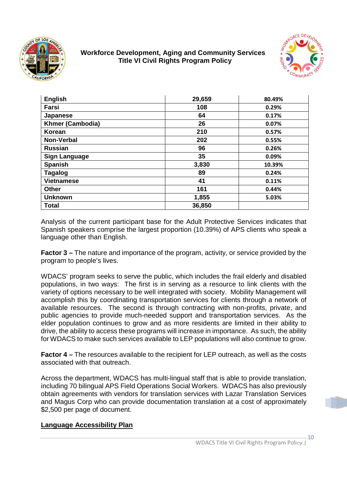



| <b>English</b>          | 29,659 | 80.49% |
|-------------------------|--------|--------|
| Farsi                   | 108    | 0.29%  |
| Japanese                | 64     | 0.17%  |
| <b>Khmer (Cambodia)</b> | 26     | 0.07%  |
| Korean                  | 210    | 0.57%  |
| Non-Verbal              | 202    | 0.55%  |
| <b>Russian</b>          | 96     | 0.26%  |
| <b>Sign Language</b>    | 35     | 0.09%  |
| <b>Spanish</b>          | 3,830  | 10.39% |
| <b>Tagalog</b>          | 89     | 0.24%  |
| <b>Vietnamese</b>       | 41     | 0.11%  |
| <b>Other</b>            | 161    | 0.44%  |
| <b>Unknown</b>          | 1,855  | 5.03%  |
| Total                   | 36,850 |        |

Analysis of the current participant base for the Adult Protective Services indicates that Spanish speakers comprise the largest proportion (10.39%) of APS clients who speak a language other than English.

**Factor 3 –** The nature and importance of the program, activity, or service provided by the program to people's lives.

WDACS' program seeks to serve the public, which includes the frail elderly and disabled populations, in two ways: The first is in serving as a resource to link clients with the variety of options necessary to be well integrated with society. Mobility Management will accomplish this by coordinating transportation services for clients through a network of available resources. The second is through contracting with non-profits, private, and public agencies to provide much-needed support and transportation services. As the elder population continues to grow and as more residents are limited in their ability to drive, the ability to access these programs will increase in importance. As such, the ability for WDACS to make such services available to LEP populations will also continue to grow.

**Factor 4 –** The resources available to the recipient for LEP outreach, as well as the costs associated with that outreach.

Across the department, WDACS has multi-lingual staff that is able to provide translation, including 70 bilingual APS Field Operations Social Workers. WDACS has also previously obtain agreements with vendors for translation services with Lazar Translation Services and Magus Corp who can provide documentation translation at a cost of approximately \$2,500 per page of document.

#### **Language Accessibility Plan**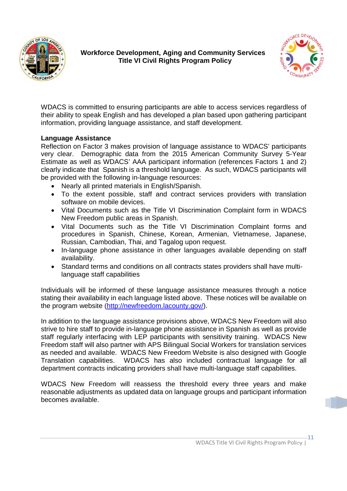



WDACS is committed to ensuring participants are able to access services regardless of their ability to speak English and has developed a plan based upon gathering participant information, providing language assistance, and staff development.

#### **Language Assistance**

Reflection on Factor 3 makes provision of language assistance to WDACS' participants very clear. Demographic data from the 2015 American Community Survey 5-Year Estimate as well as WDACS' AAA participant information (references Factors 1 and 2) clearly indicate that Spanish is a threshold language. As such, WDACS participants will be provided with the following in-language resources:

- Nearly all printed materials in English/Spanish.
- To the extent possible, staff and contract services providers with translation software on mobile devices.
- Vital Documents such as the Title VI Discrimination Complaint form in WDACS New Freedom public areas in Spanish.
- Vital Documents such as the Title VI Discrimination Complaint forms and procedures in Spanish, Chinese, Korean, Armenian, Vietnamese, Japanese, Russian, Cambodian, Thai, and Tagalog upon request.
- In-language phone assistance in other languages available depending on staff availability.
- Standard terms and conditions on all contracts states providers shall have multilanguage staff capabilities

Individuals will be informed of these language assistance measures through a notice stating their availability in each language listed above. These notices will be available on the program website (http://newfreedom.lacounty.gov/).

In addition to the language assistance provisions above, WDACS New Freedom will also strive to hire staff to provide in-language phone assistance in Spanish as well as provide staff regularly interfacing with LEP participants with sensitivity training. WDACS New Freedom staff will also partner with APS Bilingual Social Workers for translation services as needed and available. WDACS New Freedom Website is also designed with Google Translation capabilities. WDACS has also included contractual language for all department contracts indicating providers shall have multi-language staff capabilities.

WDACS New Freedom will reassess the threshold every three years and make reasonable adjustments as updated data on language groups and participant information becomes available.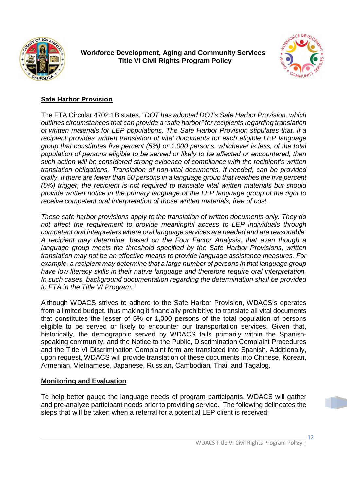



## **Safe Harbor Provision**

The FTA Circular 4702.1B states, "*DOT has adopted DOJ's Safe Harbor Provision, which outlines circumstances that can provide a "safe harbor" for recipients regarding translation of written materials for LEP populations. The Safe Harbor Provision stipulates that, if a recipient provides written translation of vital documents for each eligible LEP language group that constitutes five percent (5%) or 1,000 persons, whichever is less, of the total population of persons eligible to be served or likely to be affected or encountered, then such action will be considered strong evidence of compliance with the recipient's written translation obligations. Translation of non-vital documents, if needed, can be provided orally. If there are fewer than 50 persons in a language group that reaches the five percent (5%) trigger, the recipient is not required to translate vital written materials but should provide written notice in the primary language of the LEP language group of the right to receive competent oral interpretation of those written materials, free of cost.*

*These safe harbor provisions apply to the translation of written documents only. They do not affect the requirement to provide meaningful access to LEP individuals through competent oral interpreters where oral language services are needed and are reasonable. A recipient may determine, based on the Four Factor Analysis, that even though a language group meets the threshold specified by the Safe Harbor Provisions, written translation may not be an effective means to provide language assistance measures. For example, a recipient may determine that a large number of persons in that language group have low literacy skills in their native language and therefore require oral interpretation. In such cases, background documentation regarding the determination shall be provided to FTA in the Title VI Program."*

Although WDACS strives to adhere to the Safe Harbor Provision, WDACS's operates from a limited budget, thus making it financially prohibitive to translate all vital documents that constitutes the lesser of 5% or 1,000 persons of the total population of persons eligible to be served or likely to encounter our transportation services. Given that, historically, the demographic served by WDACS falls primarily within the Spanishspeaking community, and the Notice to the Public, Discrimination Complaint Procedures and the Title VI Discrimination Complaint form are translated into Spanish. Additionally, upon request, WDACS will provide translation of these documents into Chinese, Korean, Armenian, Vietnamese, Japanese, Russian, Cambodian, Thai, and Tagalog.

#### **Monitoring and Evaluation**

To help better gauge the language needs of program participants, WDACS will gather and pre-analyze participant needs prior to providing service. The following delineates the steps that will be taken when a referral for a potential LEP client is received: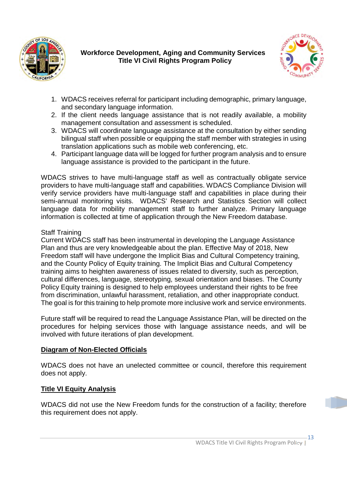



- 1. WDACS receives referral for participant including demographic, primary language, and secondary language information.
- 2. If the client needs language assistance that is not readily available, a mobility management consultation and assessment is scheduled.
- 3. WDACS will coordinate language assistance at the consultation by either sending bilingual staff when possible or equipping the staff member with strategies in using translation applications such as mobile web conferencing, etc.
- 4. Participant language data will be logged for further program analysis and to ensure language assistance is provided to the participant in the future.

WDACS strives to have multi-language staff as well as contractually obligate service providers to have multi-language staff and capabilities. WDACS Compliance Division will verify service providers have multi-language staff and capabilities in place during their semi-annual monitoring visits. WDACS' Research and Statistics Section will collect language data for mobility management staff to further analyze. Primary language information is collected at time of application through the New Freedom database.

#### Staff Training

Current WDACS staff has been instrumental in developing the Language Assistance Plan and thus are very knowledgeable about the plan. Effective May of 2018, New Freedom staff will have undergone the Implicit Bias and Cultural Competency training, and the County Policy of Equity training. The Implicit Bias and Cultural Competency training aims to heighten awareness of issues related to diversity, such as perception, cultural differences, language, stereotyping, sexual orientation and biases. The County Policy Equity training is designed to help employees understand their rights to be free from discrimination, unlawful harassment, retaliation, and other inappropriate conduct. The goal is for this training to help promote more inclusive work and service environments.

Future staff will be required to read the Language Assistance Plan, will be directed on the procedures for helping services those with language assistance needs, and will be involved with future iterations of plan development.

#### **Diagram of Non-Elected Officials**

WDACS does not have an unelected committee or council, therefore this requirement does not apply.

#### **Title VI Equity Analysis**

WDACS did not use the New Freedom funds for the construction of a facility; therefore this requirement does not apply.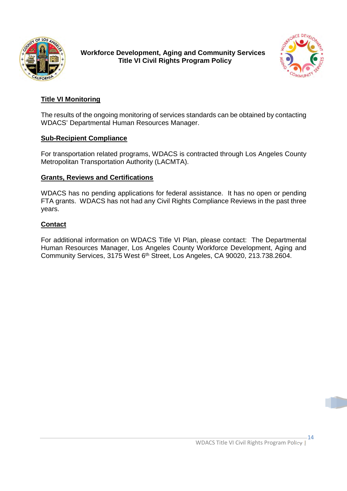



# **Title VI Monitoring**

The results of the ongoing monitoring of services standards can be obtained by contacting WDACS' Departmental Human Resources Manager.

#### **Sub-Recipient Compliance**

For transportation related programs, WDACS is contracted through Los Angeles County Metropolitan Transportation Authority (LACMTA).

#### **Grants, Reviews and Certifications**

WDACS has no pending applications for federal assistance. It has no open or pending FTA grants. WDACS has not had any Civil Rights Compliance Reviews in the past three years.

#### **Contact**

For additional information on WDACS Title VI Plan, please contact: The Departmental Human Resources Manager, Los Angeles County Workforce Development, Aging and Community Services, 3175 West 6<sup>th</sup> Street, Los Angeles, CA 90020, 213.738.2604.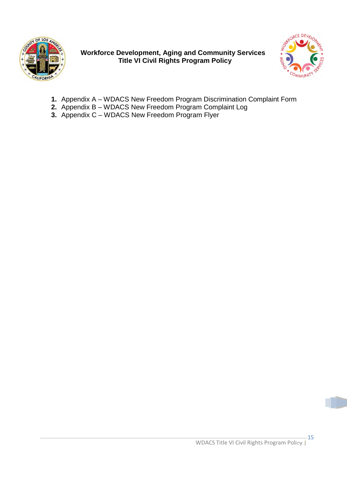



- **1.** Appendix A WDACS New Freedom Program Discrimination Complaint Form
- **2.** Appendix B WDACS New Freedom Program Complaint Log
- **3.** Appendix C WDACS New Freedom Program Flyer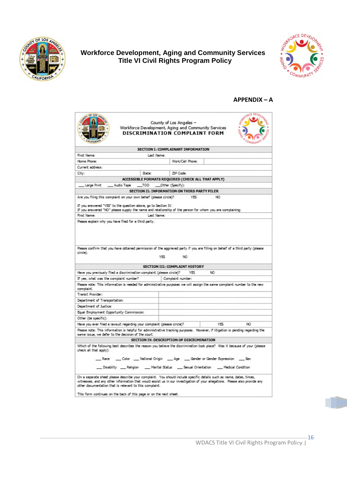



#### **APPENDIX – A**

| of 105 4                                                                                                                            | County of Los Angeles -<br>Workforce Development, Aging and Community Services<br>DISCRIMINATION COMPLAINT FORM<br><b>CIMERALTER</b>                                                                                                                                                                                       |
|-------------------------------------------------------------------------------------------------------------------------------------|----------------------------------------------------------------------------------------------------------------------------------------------------------------------------------------------------------------------------------------------------------------------------------------------------------------------------|
|                                                                                                                                     | SECTION I: COMPLAINANT INFORMATION                                                                                                                                                                                                                                                                                         |
| First Name:                                                                                                                         | Last Name:                                                                                                                                                                                                                                                                                                                 |
| Hame Phane:                                                                                                                         | Wark/Cell Phane:                                                                                                                                                                                                                                                                                                           |
| Current address:                                                                                                                    |                                                                                                                                                                                                                                                                                                                            |
| City:<br>State:                                                                                                                     | ZIP Code:                                                                                                                                                                                                                                                                                                                  |
|                                                                                                                                     | ACCESSIBLE FORMATS REQUIRED (CHECK ALL THAT APPLY)                                                                                                                                                                                                                                                                         |
| _ Audio Tape<br>Large Print                                                                                                         | __TOD ___Other (Specify):                                                                                                                                                                                                                                                                                                  |
|                                                                                                                                     | SECTION II: INFORMATION ON THIRD PARTY FILER                                                                                                                                                                                                                                                                               |
| Are you filing this complaint on your own behalf (please circle)?<br>If you arswered "YES" to the question above, go to Section IV. | NO.<br>YES.<br>If you answered "NO" please supply the name and relationship of the person for whom you are complaining:                                                                                                                                                                                                    |
| First Name:                                                                                                                         | Last Name:                                                                                                                                                                                                                                                                                                                 |
| circle).                                                                                                                            | Please confirm that you have obtained permission of the aggrieved party if you are filling on behalf of a third party (please<br>YES.<br>NO.                                                                                                                                                                               |
|                                                                                                                                     | SECTION III: COMPLAINT HISTORY                                                                                                                                                                                                                                                                                             |
| Have you previously filed a discrimination complaint (please circle)?                                                               | NO.<br>YES                                                                                                                                                                                                                                                                                                                 |
| If yes, what was the complaint number?                                                                                              | Complaint number:                                                                                                                                                                                                                                                                                                          |
| complaint.                                                                                                                          | Please note: This information is needed for administrative purposes we will assign the same complaint number to the new                                                                                                                                                                                                    |
| Transit Provider:                                                                                                                   |                                                                                                                                                                                                                                                                                                                            |
| Department of Transportation:                                                                                                       |                                                                                                                                                                                                                                                                                                                            |
| Department of Justice:                                                                                                              |                                                                                                                                                                                                                                                                                                                            |
| Equal Employment Opportunity Commission:                                                                                            |                                                                                                                                                                                                                                                                                                                            |
| Other (be specific):                                                                                                                |                                                                                                                                                                                                                                                                                                                            |
| Have you ever filed a lawsuit regarding your complaint (please circle)?                                                             | <b>YES</b><br>NO.                                                                                                                                                                                                                                                                                                          |
| same issue, we defer to the decision of the court.                                                                                  | Please note: This information is helpful for administrative tracking purposes. However, if litigation is pending regarding the                                                                                                                                                                                             |
|                                                                                                                                     | SECTION IV: DESCRIPTION OF DISCRIMINATION                                                                                                                                                                                                                                                                                  |
| check all that aggly):                                                                                                              | Which of the following best describes the reason you believe the discrimination took place? Was it because of your (please<br>___ Race ____ Color ____ National Origin _____ Age _____ Gender or Gender Expression _____ Sex<br>__ Disability ___ Religion ___ Marital Status ___ Sexual Orientation ___ Medical Condition |
| other documentation that is relevant to this complaint.<br>This form continues on the back of this page or on the next sheet.       | On a separate sheet please describe your complaint. You should include specific details such as name, dates, times,<br>witnesses, and any other information that would assist us in our investigation of your allegations. Please also provide any                                                                         |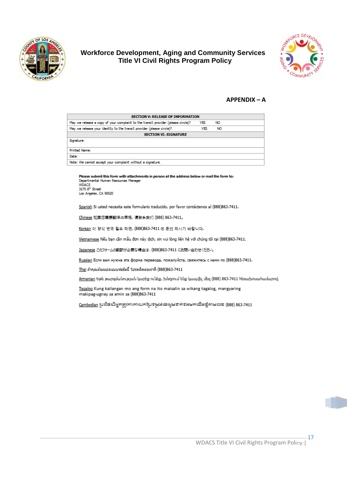



#### **APPENDIX - A**

| SECTION V: RELEASE OF INFORMATION                                                |     |     |  |  |  |
|----------------------------------------------------------------------------------|-----|-----|--|--|--|
| May we release a copy of your complaint to the transit provider (please circle)? | YES | NO. |  |  |  |
| May we release your identity to the transit provider (please circle)?            | YES | NO. |  |  |  |
| <b>SECTION VI: SIGNATURE</b>                                                     |     |     |  |  |  |
| Signature:                                                                       |     |     |  |  |  |
| Printed Name:                                                                    |     |     |  |  |  |
| Date:                                                                            |     |     |  |  |  |
| Note: We cannot accept your complaint without a signature.                       |     |     |  |  |  |
|                                                                                  |     |     |  |  |  |

Please submit this form with attachments in person at the address below or mail the form to: Departmental Human Resources Manager WDACS<br>3175 6<sup>th</sup> Street

Las Angeles, CA 90020

Spanish Si usted necesita este formulario traducido, por favor contáctenos al (888)863-7411.

Chinese 如果您需要翻译此表格, 请联系我们 (888) 863-7411。

Korean 이 양식 번역 필요 하면, (888) 863-7411 에 문의 하시기 바랍니다.

Vietnamese Nếu bạn cần mẫu đơn này dịch, xin vui lòng liên hệ với chúng tôi tại (888)863-7411.

Japanese このフォームの翻訳が必要な場合は、(888)863-7411 にお問い合わせください。

Russian Если вам нужна эта форма перевода, пожалуйста, свяжитесь с нами по (888)863-7411.

<u>Thai</u> ถ้าคุณต้องแปลแบบฟอร์มนี้ โปรดติดต่อเราที่ (888)863-7411

<u>Armenian</u> Եթե թարգմանության կարիք ունեք, խնդրում ենք կապվել մեզ (888) 863-7411 հեռախոսահամարով։

Tagalog Kung kailangan mo ang form na ito maisalin sa wikang tagalog, mangyaring makipag-ugnay sa amin sa (888)863-7411

.<br>Cambodian ប្រសិនបើអ្នកត្រូវការការបកជ្រៃទម្រង់ខេរសូមទាក់ទងមកយើងខ្ញុំតាមលេខ (888) 863-7411

WDACS Title VI Civil Rights Program Policy |

 $-17$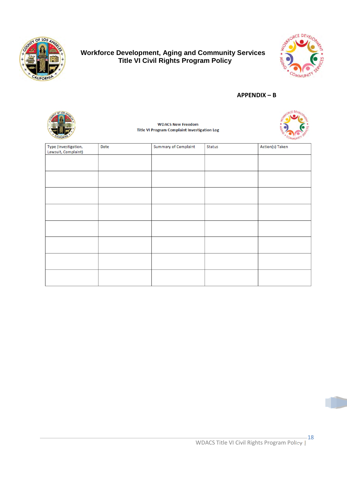



#### **APPENDIX – B**

| of LO <sub>s</sub>   |      | <b>WDACS New Freedom</b><br><b>Title VI Program Complaint Investigation Log</b> |                             |        |                 |
|----------------------|------|---------------------------------------------------------------------------------|-----------------------------|--------|-----------------|
| Type (Investigation, | Date |                                                                                 | <b>Summary of Complaint</b> | Status | Action(s) Taken |
| Lawsuit, Complaint)  |      |                                                                                 |                             |        |                 |
|                      |      |                                                                                 |                             |        |                 |
|                      |      |                                                                                 |                             |        |                 |
|                      |      |                                                                                 |                             |        |                 |
|                      |      |                                                                                 |                             |        |                 |
|                      |      |                                                                                 |                             |        |                 |
|                      |      |                                                                                 |                             |        |                 |
|                      |      |                                                                                 |                             |        |                 |
|                      |      |                                                                                 |                             |        |                 |
|                      |      |                                                                                 |                             |        |                 |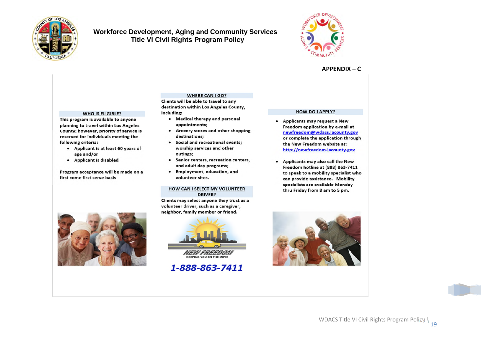



#### $APPENDIX - C$

#### **WHO IS ELIGIBLE?**

This program is available to anyone planning to travel within Los Angeles County; however, priority of service is reserved for individuals meeting the following criteria:

- Applicant is at least 60 years of age and/or
- Applicant is disabled

Program acceptance will be made on a first come first serve basis

#### Clients will be able to travel to any destination within Los Angeles County,

- including: • Medical therapy and personal
	- appointments;
	- Grocery stores and other shopping  $\bullet$ destinations;

**WHERE CAN I GO?** 

- Social and recreational events; worship services and other outings:
- Senior centers, recreation centers, and adult day programs;
- · Employment, education, and volunteer sites.

#### **HOW CAN I SELECT MY VOLUNTEER DRIVER?**

Clients may select anyone they trust as a volunteer driver, such as a caregiver, neighbor, family member or friend.





# 1-888-863-7411

#### **HOW DO I APPLY?**

- Applicants may request a New Freedom application by e-mail at newfreedom@wdacs.lacounty.gov or complete the application through the New Freedom website at: http://newfreedom.lacounty.gov
- . Applicants may also call the New Freedom hotline at (888) 863-7411 to speak to a mobility specialist who can provide assistance. Mobility specialists are available Monday thru Friday from 8 am to 5 pm.